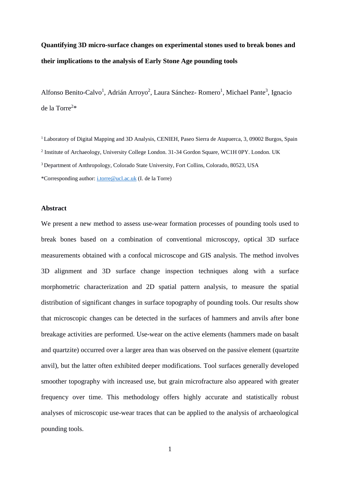# **Quantifying 3D micro-surface changes on experimental stones used to break bones and their implications to the analysis of Early Stone Age pounding tools**

Alfonso Benito-Calvo<sup>1</sup>, Adrián Arroyo<sup>2</sup>, Laura Sánchez- Romero<sup>1</sup>, Michael Pante<sup>3</sup>, Ignacio de la Torre<sup>2</sup> \*

<sup>1</sup> Laboratory of Digital Mapping and 3D Analysis, CENIEH, Paseo Sierra de Atapuerca, 3, 09002 Burgos, Spain <sup>2</sup> Institute of Archaeology, University College London. 31-34 Gordon Square, WC1H 0PY. London. UK <sup>3</sup> Department of Anthropology, Colorado State University, Fort Collins, Colorado, 80523, USA \*Corresponding author: [i.torre@ucl.ac.uk](mailto:i.torre@ucl.ac.uk) (I. de la Torre)

#### **Abstract**

We present a new method to assess use-wear formation processes of pounding tools used to break bones based on a combination of conventional microscopy, optical 3D surface measurements obtained with a confocal microscope and GIS analysis. The method involves 3D alignment and 3D surface change inspection techniques along with a surface morphometric characterization and 2D spatial pattern analysis, to measure the spatial distribution of significant changes in surface topography of pounding tools. Our results show that microscopic changes can be detected in the surfaces of hammers and anvils after bone breakage activities are performed. Use-wear on the active elements (hammers made on basalt and quartzite) occurred over a larger area than was observed on the passive element (quartzite anvil), but the latter often exhibited deeper modifications. Tool surfaces generally developed smoother topography with increased use, but grain microfracture also appeared with greater frequency over time. This methodology offers highly accurate and statistically robust analyses of microscopic use-wear traces that can be applied to the analysis of archaeological pounding tools.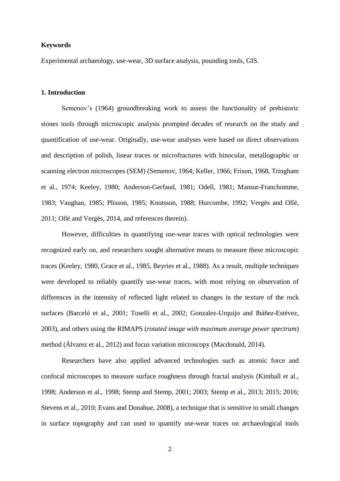## **Keywords**

Experimental archaeology, use-wear, 3D surface analysis, pounding tools, GIS.

# **1. Introduction**

Semenov's (1964) groundbreaking work to assess the functionality of prehistoric stones tools through microscopic analysis prompted decades of research on the study and quantification of use-wear. Originally, use-wear analyses were based on direct observations and description of polish, linear traces or microfractures with binocular, metallographic or scanning electron microscopes (SEM) (Semenov, 1964; Keller, 1966; Frison, 1968, Tringham et al., 1974; Keeley, 1980; Anderson-Gerfaud, 1981; Odell, 1981; Mansur-Franchomme, 1983; Vaughan, 1985; Plisson, 1985; Knutsson, 1988; Hurcombe, 1992; Vergès and Ollé, 2011; Ollé and Vergès, 2014, and references therein).

However, difficulties in quantifying use-wear traces with optical technologies were recognized early on, and researchers sought alternative means to measure these microscopic traces (Keeley, 1980, Grace et al., 1985, Beyries et al., 1988). As a result, multiple techniques were developed to reliably quantify use-wear traces, with most relying on observation of differences in the intensity of reflected light related to changes in the texture of the rock surfaces (Barceló et al., 2001; Toselli et al., 2002; Gonzalez-Urquijo and Ibáñe*z*-Estévez, 2003), and others using the RIMAPS (*rotated image with maximum average power spectrum*) method (Álvarez et al., 2012) and focus variation microscopy (Macdonald, 2014).

Researchers have also applied advanced technologies such as atomic force and confocal microscopes to measure surface roughness through fractal analysis (Kimball et al., 1998; Anderson et al., 1998; Stemp and Stemp, 2001; 2003; Stemp et al., 2013; 2015; 2016; Stevens et al., 2010; Evans and Donahue, 2008), a technique that is sensitive to small changes in surface topography and can used to quantify use-wear traces on archaeological tools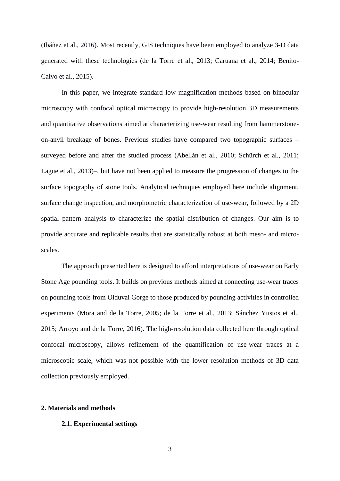(Ibáñez et al., 2016). Most recently, GIS techniques have been employed to analyze 3-D data generated with these technologies (de la Torre et al., 2013; Caruana et al., 2014; Benito-Calvo et al., 2015).

In this paper, we integrate standard low magnification methods based on binocular microscopy with confocal optical microscopy to provide high-resolution 3D measurements and quantitative observations aimed at characterizing use-wear resulting from hammerstoneon-anvil breakage of bones. Previous studies have compared two topographic surfaces – surveyed before and after the studied process (Abellán et al., 2010; Schürch et al., 2011; Lague et al., 2013)–, but have not been applied to measure the progression of changes to the surface topography of stone tools. Analytical techniques employed here include alignment, surface change inspection, and morphometric characterization of use-wear, followed by a 2D spatial pattern analysis to characterize the spatial distribution of changes. Our aim is to provide accurate and replicable results that are statistically robust at both meso- and microscales.

The approach presented here is designed to afford interpretations of use-wear on Early Stone Age pounding tools. It builds on previous methods aimed at connecting use-wear traces on pounding tools from Olduvai Gorge to those produced by pounding activities in controlled experiments (Mora and de la Torre, 2005; de la Torre et al., 2013; Sánchez Yustos et al., 2015; Arroyo and de la Torre, 2016). The high-resolution data collected here through optical confocal microscopy, allows refinement of the quantification of use-wear traces at a microscopic scale, which was not possible with the lower resolution methods of 3D data collection previously employed.

## **2. Materials and methods**

## **2.1. Experimental settings**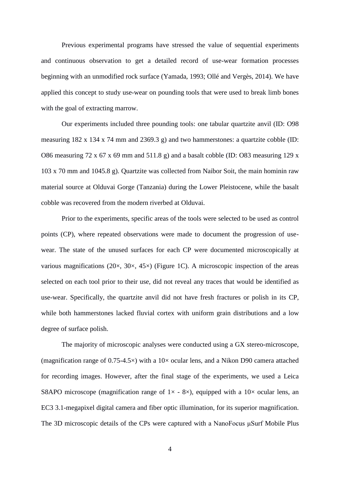Previous experimental programs have stressed the value of sequential experiments and continuous observation to get a detailed record of use-wear formation processes beginning with an unmodified rock surface (Yamada, 1993; Ollé and Vergès, 2014). We have applied this concept to study use-wear on pounding tools that were used to break limb bones with the goal of extracting marrow.

Our experiments included three pounding tools: one tabular quartzite anvil (ID: O98 measuring 182 x 134 x 74 mm and 2369.3 g) and two hammerstones: a quartzite cobble (ID: O86 measuring 72 x 67 x 69 mm and 511.8 g) and a basalt cobble (ID: O83 measuring 129 x 103 x 70 mm and 1045.8 g). Quartzite was collected from Naibor Soit, the main hominin raw material source at Olduvai Gorge (Tanzania) during the Lower Pleistocene, while the basalt cobble was recovered from the modern riverbed at Olduvai.

Prior to the experiments, specific areas of the tools were selected to be used as control points (CP), where repeated observations were made to document the progression of usewear. The state of the unused surfaces for each CP were documented microscopically at various magnifications ( $20 \times$ ,  $30 \times$ ,  $45 \times$ ) (Figure 1C). A microscopic inspection of the areas selected on each tool prior to their use, did not reveal any traces that would be identified as use-wear. Specifically, the quartzite anvil did not have fresh fractures or polish in its CP, while both hammerstones lacked fluvial cortex with uniform grain distributions and a low degree of surface polish.

The majority of microscopic analyses were conducted using a GX stereo-microscope, (magnification range of  $0.75{\text -}4.5\times$ ) with a  $10\times$  ocular lens, and a Nikon D90 camera attached for recording images. However, after the final stage of the experiments, we used a Leica S8APO microscope (magnification range of  $1 \times -8 \times$ ), equipped with a  $10 \times$  ocular lens, an EC3 3.1-megapixel digital camera and fiber optic illumination, for its superior magnification. The 3D microscopic details of the CPs were captured with a NanoFocus μSurf Mobile Plus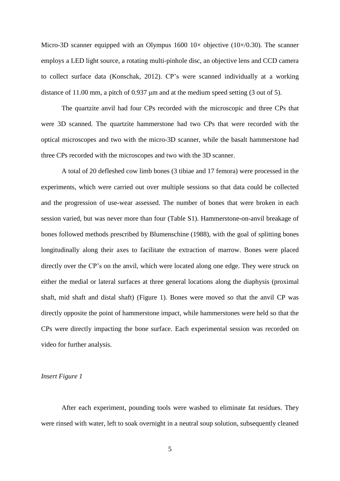Micro-3D scanner equipped with an Olympus  $1600 \frac{10 \times \text{objective}}{10 \times (0.30)}$ . The scanner employs a LED light source, a rotating multi-pinhole disc, an objective lens and CCD camera to collect surface data (Konschak, 2012). CP's were scanned individually at a working distance of 11.00 mm, a pitch of 0.937 μm and at the medium speed setting (3 out of 5).

The quartzite anvil had four CPs recorded with the microscopic and three CPs that were 3D scanned. The quartzite hammerstone had two CPs that were recorded with the optical microscopes and two with the micro-3D scanner, while the basalt hammerstone had three CPs recorded with the microscopes and two with the 3D scanner.

A total of 20 defleshed cow limb bones (3 tibiae and 17 femora) were processed in the experiments, which were carried out over multiple sessions so that data could be collected and the progression of use-wear assessed. The number of bones that were broken in each session varied, but was never more than four (Table S1). Hammerstone-on-anvil breakage of bones followed methods prescribed by Blumenschine (1988), with the goal of splitting bones longitudinally along their axes to facilitate the extraction of marrow. Bones were placed directly over the CP's on the anvil, which were located along one edge. They were struck on either the medial or lateral surfaces at three general locations along the diaphysis (proximal shaft, mid shaft and distal shaft) (Figure 1). Bones were moved so that the anvil CP was directly opposite the point of hammerstone impact, while hammerstones were held so that the CPs were directly impacting the bone surface. Each experimental session was recorded on video for further analysis.

# *Insert Figure 1*

After each experiment, pounding tools were washed to eliminate fat residues. They were rinsed with water, left to soak overnight in a neutral soup solution, subsequently cleaned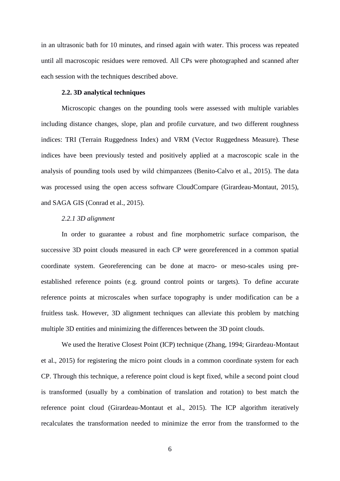in an ultrasonic bath for 10 minutes, and rinsed again with water. This process was repeated until all macroscopic residues were removed. All CPs were photographed and scanned after each session with the techniques described above.

# **2.2. 3D analytical techniques**

Microscopic changes on the pounding tools were assessed with multiple variables including distance changes, slope, plan and profile curvature, and two different roughness indices: TRI (Terrain Ruggedness Index) and VRM (Vector Ruggedness Measure). These indices have been previously tested and positively applied at a macroscopic scale in the analysis of pounding tools used by wild chimpanzees (Benito-Calvo et al., 2015). The data was processed using the open access software CloudCompare (Girardeau-Montaut, 2015), and SAGA GIS (Conrad et al., 2015).

## *2.2.1 3D alignment*

In order to guarantee a robust and fine morphometric surface comparison, the successive 3D point clouds measured in each CP were georeferenced in a common spatial coordinate system. Georeferencing can be done at macro- or meso-scales using preestablished reference points (e.g. ground control points or targets). To define accurate reference points at microscales when surface topography is under modification can be a fruitless task. However, 3D alignment techniques can alleviate this problem by matching multiple 3D entities and minimizing the differences between the 3D point clouds.

We used the Iterative Closest Point (ICP) technique (Zhang, 1994; Girardeau-Montaut et al., 2015) for registering the micro point clouds in a common coordinate system for each CP. Through this technique, a reference point cloud is kept fixed, while a second point cloud is transformed (usually by a combination of translation and rotation) to best match the reference point cloud (Girardeau-Montaut et al., 2015). The ICP algorithm iteratively recalculates the transformation needed to minimize the error from the transformed to the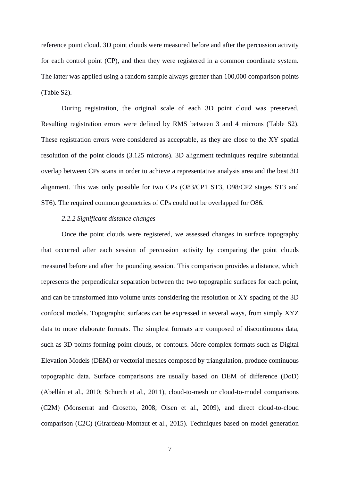reference point cloud. 3D point clouds were measured before and after the percussion activity for each control point (CP), and then they were registered in a common coordinate system. The latter was applied using a random sample always greater than 100,000 comparison points (Table S2).

During registration, the original scale of each 3D point cloud was preserved. Resulting registration errors were defined by RMS between 3 and 4 microns (Table S2). These registration errors were considered as acceptable, as they are close to the XY spatial resolution of the point clouds (3.125 microns). 3D alignment techniques require substantial overlap between CPs scans in order to achieve a representative analysis area and the best 3D alignment. This was only possible for two CPs (O83/CP1 ST3, O98/CP2 stages ST3 and ST6). The required common geometries of CPs could not be overlapped for O86.

# *2.2.2 Significant distance changes*

Once the point clouds were registered, we assessed changes in surface topography that occurred after each session of percussion activity by comparing the point clouds measured before and after the pounding session. This comparison provides a distance, which represents the perpendicular separation between the two topographic surfaces for each point, and can be transformed into volume units considering the resolution or XY spacing of the 3D confocal models. Topographic surfaces can be expressed in several ways, from simply XYZ data to more elaborate formats. The simplest formats are composed of discontinuous data, such as 3D points forming point clouds, or contours. More complex formats such as Digital Elevation Models (DEM) or vectorial meshes composed by triangulation, produce continuous topographic data. Surface comparisons are usually based on DEM of difference (DoD) (Abellán et al., 2010; Schürch et al., 2011), cloud-to-mesh or cloud-to-model comparisons (C2M) (Monserrat and Crosetto, 2008; Olsen et al., 2009), and direct cloud-to-cloud comparison (C2C) (Girardeau-Montaut et al., 2015). Techniques based on model generation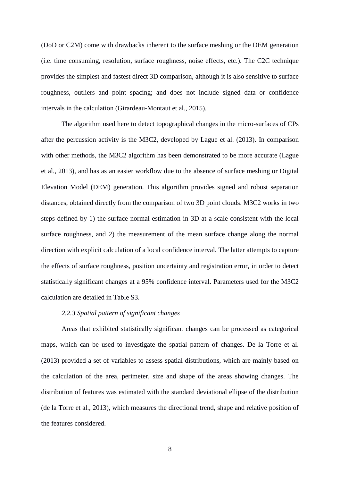(DoD or C2M) come with drawbacks inherent to the surface meshing or the DEM generation (i.e. time consuming, resolution, surface roughness, noise effects, etc.). The C2C technique provides the simplest and fastest direct 3D comparison, although it is also sensitive to surface roughness, outliers and point spacing; and does not include signed data or confidence intervals in the calculation (Girardeau-Montaut et al., 2015).

The algorithm used here to detect topographical changes in the micro-surfaces of CPs after the percussion activity is the M3C2, developed by Lague et al. (2013). In comparison with other methods, the M3C2 algorithm has been demonstrated to be more accurate (Lague et al., 2013), and has as an easier workflow due to the absence of surface meshing or Digital Elevation Model (DEM) generation. This algorithm provides signed and robust separation distances, obtained directly from the comparison of two 3D point clouds. M3C2 works in two steps defined by 1) the surface normal estimation in 3D at a scale consistent with the local surface roughness, and 2) the measurement of the mean surface change along the normal direction with explicit calculation of a local confidence interval. The latter attempts to capture the effects of surface roughness, position uncertainty and registration error, in order to detect statistically significant changes at a 95% confidence interval. Parameters used for the M3C2 calculation are detailed in Table S3.

# *2.2.3 Spatial pattern of significant changes*

Areas that exhibited statistically significant changes can be processed as categorical maps, which can be used to investigate the spatial pattern of changes. De la Torre et al. (2013) provided a set of variables to assess spatial distributions, which are mainly based on the calculation of the area, perimeter, size and shape of the areas showing changes. The distribution of features was estimated with the standard deviational ellipse of the distribution (de la Torre et al., 2013), which measures the directional trend, shape and relative position of the features considered.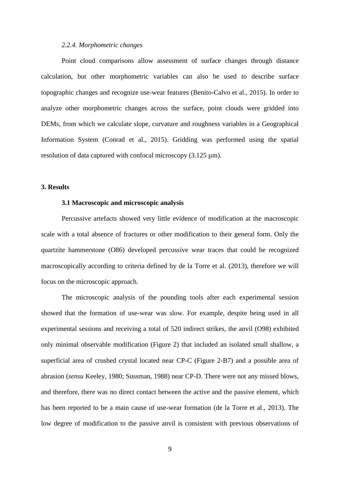#### *2.2.4. Morphometric changes*

Point cloud comparisons allow assessment of surface changes through distance calculation, but other morphometric variables can also be used to describe surface topographic changes and recognize use-wear features (Benito-Calvo et al., 2015). In order to analyze other morphometric changes across the surface, point clouds were gridded into DEMs, from which we calculate slope, curvature and roughness variables in a Geographical Information System (Conrad et al., 2015). Gridding was performed using the spatial resolution of data captured with confocal microscopy  $(3.125 \,\mu\text{m})$ .

## **3. Results**

# **3.1 Macroscopic and microscopic analysis**

Percussive artefacts showed very little evidence of modification at the macroscopic scale with a total absence of fractures or other modification to their general form. Only the quartzite hammerstone (O86) developed percussive wear traces that could be recognized macroscopically according to criteria defined by de la Torre et al. (2013), therefore we will focus on the microscopic approach.

The microscopic analysis of the pounding tools after each experimental session showed that the formation of use-wear was slow. For example, despite being used in all experimental sessions and receiving a total of 520 indirect strikes, the anvil (O98) exhibited only minimal observable modification (Figure 2) that included an isolated small shallow, a superficial area of crushed crystal located near CP-C (Figure 2-B7) and a possible area of abrasion (*sensu* Keeley, 1980; Sussman, 1988) near CP-D. There were not any missed blows, and therefore, there was no direct contact between the active and the passive element, which has been reported to be a main cause of use-wear formation (de la Torre et al., 2013). The low degree of modification to the passive anvil is consistent with previous observations of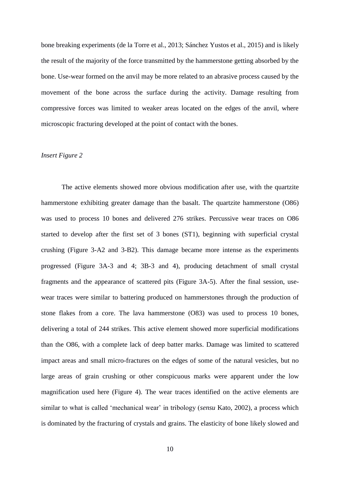bone breaking experiments (de la Torre et al., 2013; Sánchez Yustos et al., 2015) and is likely the result of the majority of the force transmitted by the hammerstone getting absorbed by the bone. Use-wear formed on the anvil may be more related to an abrasive process caused by the movement of the bone across the surface during the activity. Damage resulting from compressive forces was limited to weaker areas located on the edges of the anvil, where microscopic fracturing developed at the point of contact with the bones.

# *Insert Figure 2*

The active elements showed more obvious modification after use, with the quartzite hammerstone exhibiting greater damage than the basalt. The quartzite hammerstone (O86) was used to process 10 bones and delivered 276 strikes. Percussive wear traces on O86 started to develop after the first set of 3 bones (ST1), beginning with superficial crystal crushing (Figure 3-A2 and 3-B2). This damage became more intense as the experiments progressed (Figure 3A-3 and 4; 3B-3 and 4), producing detachment of small crystal fragments and the appearance of scattered pits (Figure 3A-5). After the final session, usewear traces were similar to battering produced on hammerstones through the production of stone flakes from a core. The lava hammerstone (O83) was used to process 10 bones, delivering a total of 244 strikes. This active element showed more superficial modifications than the O86, with a complete lack of deep batter marks. Damage was limited to scattered impact areas and small micro-fractures on the edges of some of the natural vesicles, but no large areas of grain crushing or other conspicuous marks were apparent under the low magnification used here (Figure 4). The wear traces identified on the active elements are similar to what is called 'mechanical wear' in tribology (*sensu* Kato, 2002), a process which is dominated by the fracturing of crystals and grains. The elasticity of bone likely slowed and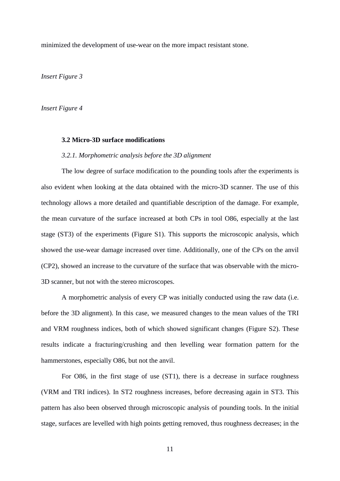minimized the development of use-wear on the more impact resistant stone.

*Insert Figure 3*

*Insert Figure 4*

### **3.2 Micro-3D surface modifications**

## *3.2.1. Morphometric analysis before the 3D alignment*

The low degree of surface modification to the pounding tools after the experiments is also evident when looking at the data obtained with the micro-3D scanner. The use of this technology allows a more detailed and quantifiable description of the damage. For example, the mean curvature of the surface increased at both CPs in tool O86, especially at the last stage (ST3) of the experiments (Figure S1). This supports the microscopic analysis, which showed the use-wear damage increased over time. Additionally, one of the CPs on the anvil (CP2), showed an increase to the curvature of the surface that was observable with the micro-3D scanner, but not with the stereo microscopes.

A morphometric analysis of every CP was initially conducted using the raw data (i.e. before the 3D alignment). In this case, we measured changes to the mean values of the TRI and VRM roughness indices, both of which showed significant changes (Figure S2). These results indicate a fracturing/crushing and then levelling wear formation pattern for the hammerstones, especially O86, but not the anvil.

For O86, in the first stage of use (ST1), there is a decrease in surface roughness (VRM and TRI indices). In ST2 roughness increases, before decreasing again in ST3. This pattern has also been observed through microscopic analysis of pounding tools. In the initial stage, surfaces are levelled with high points getting removed, thus roughness decreases; in the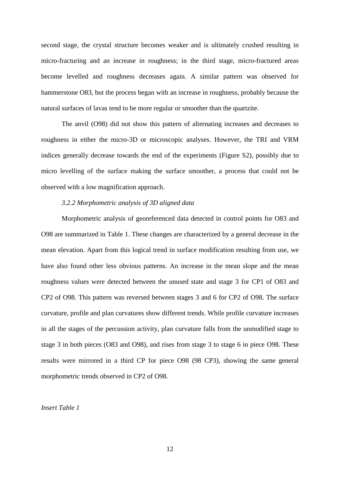second stage, the crystal structure becomes weaker and is ultimately crushed resulting in micro-fracturing and an increase in roughness; in the third stage, micro-fractured areas become levelled and roughness decreases again. A similar pattern was observed for hammerstone O83, but the process began with an increase in roughness, probably because the natural surfaces of lavas tend to be more regular or smoother than the quartzite.

The anvil (O98) did not show this pattern of alternating increases and decreases to roughness in either the micro-3D or microscopic analyses. However, the TRI and VRM indices generally decrease towards the end of the experiments (Figure S2), possibly due to micro levelling of the surface making the surface smoother, a process that could not be observed with a low magnification approach.

# *3.2.2 Morphometric analysis of 3D aligned data*

Morphometric analysis of georeferenced data detected in control points for O83 and O98 are summarized in Table 1. These changes are characterized by a general decrease in the mean elevation. Apart from this logical trend in surface modification resulting from use, we have also found other less obvious patterns. An increase in the mean slope and the mean roughness values were detected between the unused state and stage 3 for CP1 of O83 and CP2 of O98. This pattern was reversed between stages 3 and 6 for CP2 of O98. The surface curvature, profile and plan curvatures show different trends. While profile curvature increases in all the stages of the percussion activity, plan curvature falls from the unmodified stage to stage 3 in both pieces (O83 and O98), and rises from stage 3 to stage 6 in piece O98. These results were mirrored in a third CP for piece O98 (98 CP3), showing the same general morphometric trends observed in CP2 of O98.

*Insert Table 1*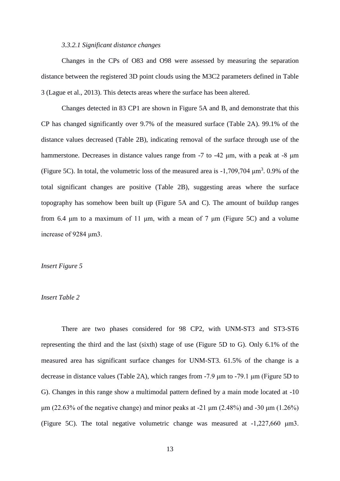## *3.3.2.1 Significant distance changes*

Changes in the CPs of O83 and O98 were assessed by measuring the separation distance between the registered 3D point clouds using the M3C2 parameters defined in Table 3 (Lague et al., 2013). This detects areas where the surface has been altered.

Changes detected in 83 CP1 are shown in Figure 5A and B, and demonstrate that this CP has changed significantly over 9.7% of the measured surface (Table 2A). 99.1% of the distance values decreased (Table 2B), indicating removal of the surface through use of the hammerstone. Decreases in distance values range from -7 to -42 μm, with a peak at -8 μm (Figure 5C). In total, the volumetric loss of the measured area is  $-1,709,704 \mu m^3$ . 0.9% of the total significant changes are positive (Table 2B), suggesting areas where the surface topography has somehow been built up (Figure 5A and C). The amount of buildup ranges from 6.4 μm to a maximum of 11 μm, with a mean of 7 μm (Figure 5C) and a volume increase of 9284 μm3.

# *Insert Figure 5*

# *Insert Table 2*

There are two phases considered for 98 CP2, with UNM-ST3 and ST3-ST6 representing the third and the last (sixth) stage of use (Figure 5D to G). Only 6.1% of the measured area has significant surface changes for UNM-ST3. 61.5% of the change is a decrease in distance values (Table 2A), which ranges from -7.9 μm to -79.1 μm (Figure 5D to G). Changes in this range show a multimodal pattern defined by a main mode located at -10 μm (22.63% of the negative change) and minor peaks at -21 μm (2.48%) and -30 μm (1.26%) (Figure 5C). The total negative volumetric change was measured at -1,227,660 μm3.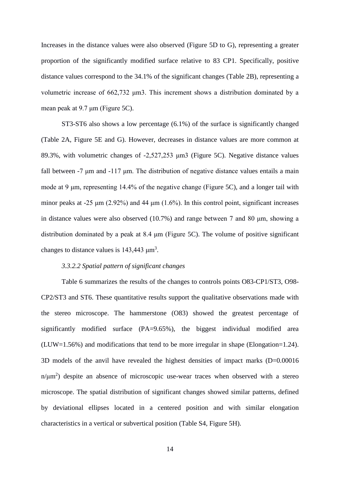Increases in the distance values were also observed (Figure 5D to G), representing a greater proportion of the significantly modified surface relative to 83 CP1. Specifically, positive distance values correspond to the 34.1% of the significant changes (Table 2B), representing a volumetric increase of 662,732 μm3. This increment shows a distribution dominated by a mean peak at 9.7 μm (Figure 5C).

ST3-ST6 also shows a low percentage (6.1%) of the surface is significantly changed (Table 2A, Figure 5E and G). However, decreases in distance values are more common at 89.3%, with volumetric changes of -2,527,253 μm3 (Figure 5C). Negative distance values fall between -7 μm and -117 μm. The distribution of negative distance values entails a main mode at 9 μm, representing 14.4% of the negative change (Figure 5C), and a longer tail with minor peaks at -25  $\mu$ m (2.92%) and 44  $\mu$ m (1.6%). In this control point, significant increases in distance values were also observed (10.7%) and range between 7 and 80 μm, showing a distribution dominated by a peak at 8.4 μm (Figure 5C). The volume of positive significant changes to distance values is  $143,443 \text{ }\mu\text{m}^3$ .

# *3.3.2.2 Spatial pattern of significant changes*

Table 6 summarizes the results of the changes to controls points O83-CP1/ST3, O98- CP2/ST3 and ST6. These quantitative results support the qualitative observations made with the stereo microscope. The hammerstone (O83) showed the greatest percentage of significantly modified surface (PA=9.65%), the biggest individual modified area (LUW=1.56%) and modifications that tend to be more irregular in shape (Elongation=1.24). 3D models of the anvil have revealed the highest densities of impact marks (D=0.00016  $n/\mu m^2$ ) despite an absence of microscopic use-wear traces when observed with a stereo microscope. The spatial distribution of significant changes showed similar patterns, defined by deviational ellipses located in a centered position and with similar elongation characteristics in a vertical or subvertical position (Table S4, Figure 5H).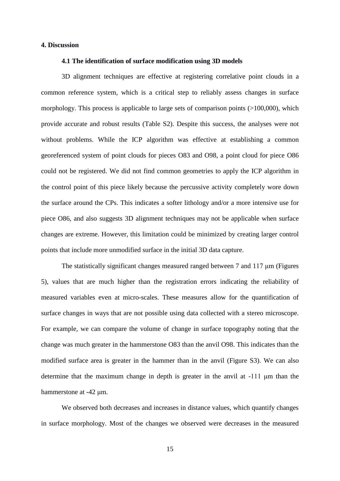## **4. Discussion**

#### **4.1 The identification of surface modification using 3D models**

3D alignment techniques are effective at registering correlative point clouds in a common reference system, which is a critical step to reliably assess changes in surface morphology. This process is applicable to large sets of comparison points (>100,000), which provide accurate and robust results (Table S2). Despite this success, the analyses were not without problems. While the ICP algorithm was effective at establishing a common georeferenced system of point clouds for pieces O83 and O98, a point cloud for piece O86 could not be registered. We did not find common geometries to apply the ICP algorithm in the control point of this piece likely because the percussive activity completely wore down the surface around the CPs. This indicates a softer lithology and/or a more intensive use for piece O86, and also suggests 3D alignment techniques may not be applicable when surface changes are extreme. However, this limitation could be minimized by creating larger control points that include more unmodified surface in the initial 3D data capture.

The statistically significant changes measured ranged between 7 and 117 μm (Figures 5), values that are much higher than the registration errors indicating the reliability of measured variables even at micro-scales. These measures allow for the quantification of surface changes in ways that are not possible using data collected with a stereo microscope. For example, we can compare the volume of change in surface topography noting that the change was much greater in the hammerstone O83 than the anvil O98. This indicates than the modified surface area is greater in the hammer than in the anvil (Figure S3). We can also determine that the maximum change in depth is greater in the anvil at -111 μm than the hammerstone at -42 μm.

We observed both decreases and increases in distance values, which quantify changes in surface morphology. Most of the changes we observed were decreases in the measured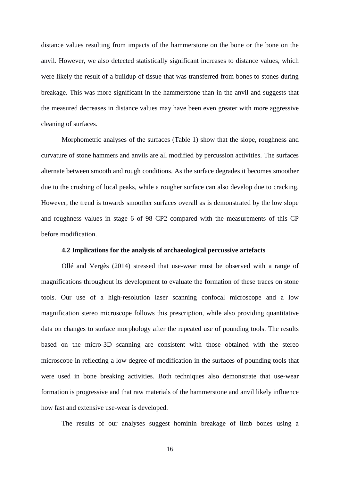distance values resulting from impacts of the hammerstone on the bone or the bone on the anvil. However, we also detected statistically significant increases to distance values, which were likely the result of a buildup of tissue that was transferred from bones to stones during breakage. This was more significant in the hammerstone than in the anvil and suggests that the measured decreases in distance values may have been even greater with more aggressive cleaning of surfaces.

Morphometric analyses of the surfaces (Table 1) show that the slope, roughness and curvature of stone hammers and anvils are all modified by percussion activities. The surfaces alternate between smooth and rough conditions. As the surface degrades it becomes smoother due to the crushing of local peaks, while a rougher surface can also develop due to cracking. However, the trend is towards smoother surfaces overall as is demonstrated by the low slope and roughness values in stage 6 of 98 CP2 compared with the measurements of this CP before modification.

## **4.2 Implications for the analysis of archaeological percussive artefacts**

Ollé and Vergès (2014) stressed that use-wear must be observed with a range of magnifications throughout its development to evaluate the formation of these traces on stone tools. Our use of a high-resolution laser scanning confocal microscope and a low magnification stereo microscope follows this prescription, while also providing quantitative data on changes to surface morphology after the repeated use of pounding tools. The results based on the micro-3D scanning are consistent with those obtained with the stereo microscope in reflecting a low degree of modification in the surfaces of pounding tools that were used in bone breaking activities. Both techniques also demonstrate that use-wear formation is progressive and that raw materials of the hammerstone and anvil likely influence how fast and extensive use-wear is developed.

The results of our analyses suggest hominin breakage of limb bones using a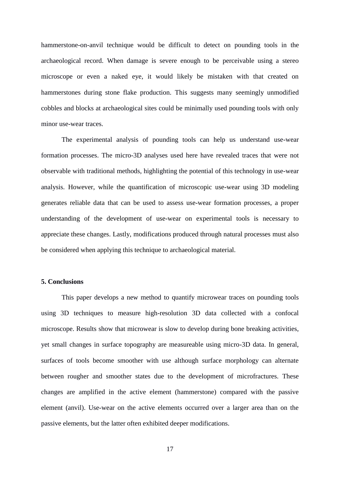hammerstone-on-anvil technique would be difficult to detect on pounding tools in the archaeological record. When damage is severe enough to be perceivable using a stereo microscope or even a naked eye, it would likely be mistaken with that created on hammerstones during stone flake production. This suggests many seemingly unmodified cobbles and blocks at archaeological sites could be minimally used pounding tools with only minor use-wear traces.

The experimental analysis of pounding tools can help us understand use-wear formation processes. The micro-3D analyses used here have revealed traces that were not observable with traditional methods, highlighting the potential of this technology in use-wear analysis. However, while the quantification of microscopic use-wear using 3D modeling generates reliable data that can be used to assess use-wear formation processes, a proper understanding of the development of use-wear on experimental tools is necessary to appreciate these changes. Lastly, modifications produced through natural processes must also be considered when applying this technique to archaeological material.

# **5. Conclusions**

This paper develops a new method to quantify microwear traces on pounding tools using 3D techniques to measure high-resolution 3D data collected with a confocal microscope. Results show that microwear is slow to develop during bone breaking activities, yet small changes in surface topography are measureable using micro-3D data. In general, surfaces of tools become smoother with use although surface morphology can alternate between rougher and smoother states due to the development of microfractures. These changes are amplified in the active element (hammerstone) compared with the passive element (anvil). Use-wear on the active elements occurred over a larger area than on the passive elements, but the latter often exhibited deeper modifications.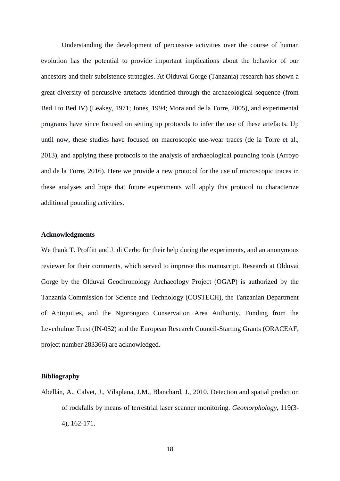Understanding the development of percussive activities over the course of human evolution has the potential to provide important implications about the behavior of our ancestors and their subsistence strategies. At Olduvai Gorge (Tanzania) research has shown a great diversity of percussive artefacts identified through the archaeological sequence (from Bed I to Bed IV) (Leakey, 1971; Jones, 1994; Mora and de la Torre, 2005), and experimental programs have since focused on setting up protocols to infer the use of these artefacts. Up until now, these studies have focused on macroscopic use-wear traces (de la Torre et al., 2013), and applying these protocols to the analysis of archaeological pounding tools (Arroyo and de la Torre, 2016). Here we provide a new protocol for the use of microscopic traces in these analyses and hope that future experiments will apply this protocol to characterize additional pounding activities.

# **Acknowledgments**

We thank T. Proffitt and J. di Cerbo for their help during the experiments, and an anonymous reviewer for their comments, which served to improve this manuscript. Research at Olduvai Gorge by the Olduvai Geochronology Archaeology Project (OGAP) is authorized by the Tanzania Commission for Science and Technology (COSTECH), the Tanzanian Department of Antiquities, and the Ngorongoro Conservation Area Authority. Funding from the Leverhulme Trust (IN-052) and the European Research Council-Starting Grants (ORACEAF, project number 283366) are acknowledged.

## **Bibliography**

Abellán, A., Calvet, J., Vilaplana, J.M., Blanchard, J., 2010. Detection and spatial prediction of rockfalls by means of terrestrial laser scanner monitoring. *Geomorphology*, 119(3- 4), 162-171.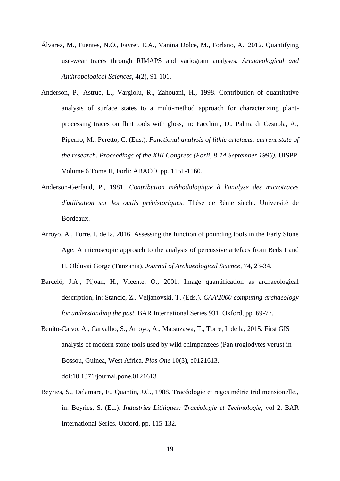- Álvarez, M., Fuentes, N.O., Favret, E.A., Vanina Dolce, M., Forlano, A., 2012. Quantifying use-wear traces through RIMAPS and variogram analyses. *Archaeological and Anthropological Sciences*, 4(2), 91-101.
- Anderson, P., Astruc, L., Vargiolu, R., Zahouani, H., 1998. Contribution of quantitative analysis of surface states to a multi-method approach for characterizing plantprocessing traces on flint tools with gloss, in: Facchini, D., Palma di Cesnola, A., Piperno, M., Peretto, C. (Eds.). *Functional analysis of lithic artefacts: current state of the research. Proceedings of the XIII Congress (Forli, 8-14 September 1996)*. UISPP. Volume 6 Tome II, Forli: ABACO, pp. 1151-1160.
- Anderson-Gerfaud, P., 1981. *Contribution méthodologique à l'analyse des microtraces d'utilisation sur les outils préhistoriques*. Thèse de 3ème siecle. Université de Bordeaux.
- Arroyo, A., Torre, I. de la, 2016. Assessing the function of pounding tools in the Early Stone Age: A microscopic approach to the analysis of percussive artefacs from Beds I and II, Olduvai Gorge (Tanzania). *Journal of Archaeological Science*, 74, 23-34.
- Barceló, J.A., Pijoan, H., Vicente, O., 2001. Image quantification as archaeological description, in: Stancic, Z., Veljanovski, T. (Eds.). *CAA'2000 computing archaeology for understanding the past*. BAR International Series 931, Oxford, pp. 69-77.
- Benito-Calvo, A., Carvalho, S., Arroyo, A., Matsuzawa, T., Torre, I. de la, 2015. First GIS analysis of modern stone tools used by wild chimpanzees (Pan troglodytes verus) in Bossou, Guinea, West Africa. *Plos One* 10(3), e0121613. doi:10.1371/journal.pone.0121613
- Beyries, S., Delamare, F., Quantin, J.C., 1988. Tracéologie et regosimétrie tridimensionelle., in: Beyries, S. (Ed.). *Industries Lithiques: Tracéologie et Technologie*, vol 2. BAR International Series, Oxford, pp. 115-132.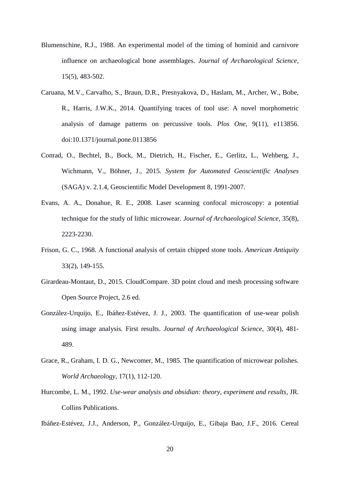- Blumenschine, R.J., 1988. An experimental model of the timing of hominid and carnivore influence on archaeological bone assemblages. *Journal of Archaeological Science*, 15(5), 483-502.
- Caruana, M.V., Carvalho, S., Braun, D.R., Presnyakova, D., Haslam, M., Archer, W., Bobe, R., Harris, J.W.K., 2014. Quantifying traces of tool use: A novel morphometric analysis of damage patterns on percussive tools. *Plos One*, 9(11), e113856. doi:10.1371/journal.pone.0113856
- Conrad, O., Bechtel, B., Bock, M., Dietrich, H., Fischer, E., Gerlitz, L., Wehberg, J., Wichmann, V., Böhner, J., 2015. *System for Automated Geoscientific Analyses*  (SAGA) v. 2.1.4, Geoscientific Model Development 8, 1991-2007.
- Evans, A. A., Donahue, R. E., 2008. Laser scanning confocal microscopy: a potential technique for the study of lithic microwear. *Journal of Archaeological Science*, 35(8), 2223-2230.
- Frison, G. C., 1968. A functional analysis of certain chipped stone tools. *American Antiquity* 33(2), 149-155.
- Girardeau-Montaut, D., 2015. CloudCompare. 3D point cloud and mesh processing software Open Source Project, 2.6 ed.
- González-Urquijo, E., Ibáñez-Estévez, J. J., 2003. The quantification of use-wear polish using image analysis. First results. *Journal of Archaeological Science*, 30(4), 481- 489.
- Grace, R., Graham, I. D. G., Newcomer, M., 1985. The quantification of microwear polishes. *World Archaeology*, 17(1), 112-120.
- Hurcombe, L. M., 1992. *Use-wear analysis and obsidian: theory, experiment and results*, JR. Collins Publications.
- Ibáñez-Estévez, J.J., Anderson, P., González-Urquijo, E., Gibaja Bao, J.F., 2016. Cereal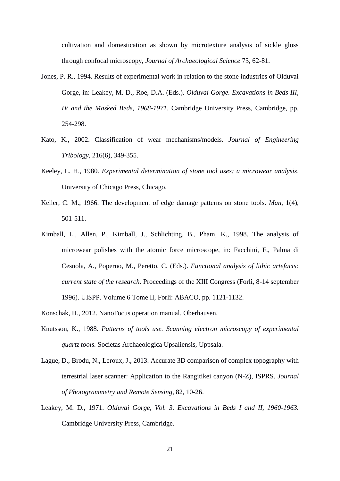cultivation and domestication as shown by microtexture analysis of sickle gloss through confocal microscopy, *Journal of Archaeological Science* 73, 62-81.

- Jones, P. R., 1994. Results of experimental work in relation to the stone industries of Olduvai Gorge, in: Leakey, M. D., Roe, D.A. (Eds.). *Olduvai Gorge. Excavations in Beds III, IV and the Masked Beds, 1968-1971*. Cambridge University Press, Cambridge, pp. 254-298.
- Kato, K., 2002. Classification of wear mechanisms/models. *Journal of Engineering Tribology,* 216(6), 349-355.
- Keeley, L. H., 1980. *Experimental determination of stone tool uses: a microwear analysis*. University of Chicago Press, Chicago.
- Keller, C. M., 1966. The development of edge damage patterns on stone tools. *Man*, 1(4), 501-511.
- Kimball, L., Allen, P., Kimball, J., Schlichting, B., Pham, K., 1998. The analysis of microwear polishes with the atomic force microscope, in: Facchini, F., Palma di Cesnola, A., Poperno, M., Peretto, C. (Eds.). *Functional analysis of lithic artefacts: current state of the research*. Proceedings of the XIII Congress (Forli, 8-14 september 1996). UISPP. Volume 6 Tome II, Forli: ABACO, pp. 1121-1132.
- Konschak, H., 2012. NanoFocus operation manual. Oberhausen.
- Knutsson, K., 1988. *Patterns of tools use. Scanning electron microscopy of experimental quartz tools.* Societas Archaeologica Upsaliensis, Uppsala.
- Lague, D., Brodu, N., Leroux, J., 2013. Accurate 3D comparison of complex topography with terrestrial laser scanner: Application to the Rangitikei canyon (N-Z), ISPRS. *Journal of Photogrammetry and Remote Sensing*, 82, 10-26.
- Leakey, M. D., 1971. *Olduvai Gorge, Vol. 3. Excavations in Beds I and II, 1960-1963.* Cambridge University Press, Cambridge.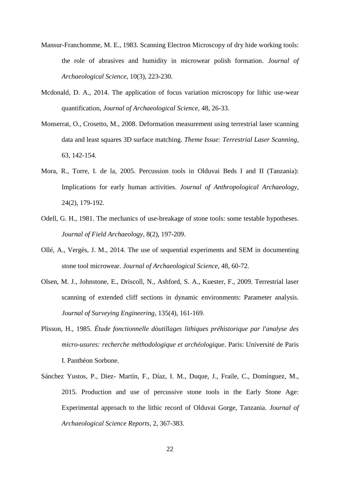- Mansur-Franchomme, M. E., 1983. Scanning Electron Microscopy of dry hide working tools: the role of abrasives and humidity in microwear polish formation. *Journal of Archaeological Science*, 10(3), 223-230.
- Mcdonald, D. A., 2014. The application of focus variation microscopy for lithic use-wear quantification, *Journal of Archaeological Science*, 48, 26-33.
- Monserrat, O., Crosetto, M., 2008. Deformation measurement using terrestrial laser scanning data and least squares 3D surface matching. *Theme Issue: Terrestrial Laser Scanning*, 63, 142-154.
- Mora, R., Torre, I. de la, 2005. Percussion tools in Olduvai Beds I and II (Tanzania): Implications for early human activities. *Journal of Anthropological Archaeology*, 24(2), 179-192.
- Odell, G. H., 1981. The mechanics of use-breakage of stone tools: some testable hypotheses. *Journal of Field Archaeology*, 8(2), 197-209.
- Ollé, A., Vergès, J. M., 2014. The use of sequential experiments and SEM in documenting stone tool microwear. *Journal of Archaeological Science*, 48, 60-72.
- Olsen, M. J., Johnstone, E., Driscoll, N., Ashford, S. A., Kuester, F., 2009. Terrestrial laser scanning of extended cliff sections in dynamic environments: Parameter analysis. *Journal of Surveying Engineering*, 135(4), 161-169.
- Plisson, H., 1985. *Étude fonctionnelle dòutillages lithiques préhistorique par l'analyse des micro-usures: recherche méthodologique et archéologique*. Paris: Université de Paris I. Panthéon Sorbone.
- Sánchez Yustos, P., Diez- Martín, F., Díaz, I. M., Duque, J., Fraile, C., Domínguez, M., 2015. Production and use of percussive stone tools in the Early Stone Age: Experimental approach to the lithic record of Olduvai Gorge, Tanzania. *Journal of Archaeological Science Reports*, 2, 367-383.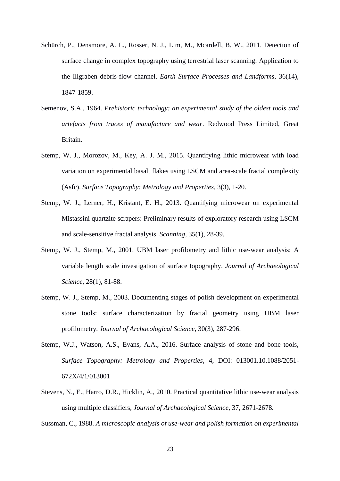- Schürch, P., Densmore, A. L., Rosser, N. J., Lim, M., Mcardell, B. W., 2011. Detection of surface change in complex topography using terrestrial laser scanning: Application to the Illgraben debris-flow channel. *Earth Surface Processes and Landforms*, 36(14), 1847-1859.
- Semenov, S.A., 1964. *Prehistoric technology: an experimental study of the oldest tools and artefacts from traces of manufacture and wear*. Redwood Press Limited, Great Britain.
- Stemp, W. J., Morozov, M., Key, A. J. M., 2015. Quantifying lithic microwear with load variation on experimental basalt flakes using LSCM and area-scale fractal complexity (Asfc). *Surface Topography: Metrology and Properties*, 3(3), 1-20.
- Stemp, W. J., Lerner, H., Kristant, E. H., 2013. Quantifying microwear on experimental Mistassini quartzite scrapers: Preliminary results of exploratory research using LSCM and scale-sensitive fractal analysis. *Scanning*, 35(1), 28-39.
- Stemp, W. J., Stemp, M., 2001. UBM laser profilometry and lithic use-wear analysis: A variable length scale investigation of surface topography. *Journal of Archaeological Science*, 28(1), 81-88.
- Stemp, W. J., Stemp, M., 2003. Documenting stages of polish development on experimental stone tools: surface characterization by fractal geometry using UBM laser profilometry. *Journal of Archaeological Science*, 30(3), 287-296.
- Stemp, W.J., Watson, A.S., Evans, A.A., 2016. Surface analysis of stone and bone tools, *Surface Topography: Metrology and Properties,* 4, DOI: 013001.10.1088/2051- 672X/4/1/013001
- Stevens, N., E., Harro, D.R., Hicklin, A., 2010. Practical quantitative lithic use-wear analysis using multiple classifiers, *Journal of Archaeological Science*, 37, 2671-2678.

Sussman, C., 1988. *A microscopic analysis of use-wear and polish formation on experimental*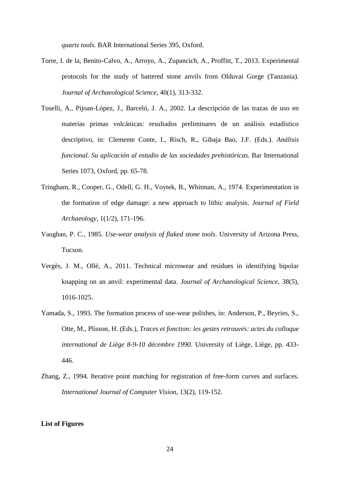*quartz tools*. BAR International Series 395, Oxford.

- Torre, I. de la, Benito-Calvo, A., Arroyo, A., Zupancich, A., Proffitt, T., 2013. Experimental protocols for the study of battered stone anvils from Olduvai Gorge (Tanzania). *Journal of Archaeological Science*, 40(1), 313-332.
- Toselli, A., Pijoan-López, J., Barceló, J. A., 2002. La descripción de las trazas de uso en materias primas volcánicas: resultados preliminares de un análisis estadístico descriptivo, in: Clemente Conte, I., Risch, R., Gibaja Bao, J.F. (Eds.). *Análisis funcional. Su aplicación al estudio de las sociedades prehistóricas.* Bar International Series 1073, Oxford, pp. 65-78.
- Tringham, R., Cooper, G., Odell, G. H., Voytek, B., Whitman, A., 1974. Experimentation in the formation of edge damage: a new approach to lithic analysis. *Journal of Field Archaeology*, 1(1/2), 171-196.
- Vaughan, P. C., 1985. *Use-wear analysis of flaked stone tools*. University of Arizona Press, Tucson.
- Vergès, J. M., Ollé, A., 2011. Technical microwear and residues in identifying bipolar knapping on an anvil: experimental data. *Journal of Archaeological Science*, 38(5), 1016-1025.
- Yamada, S., 1993. The formation process of use-wear polishes, in: Anderson, P., Beyries, S., Otte, M., Plisson, H. (Eds.), *Traces et fonction: les gestes retrouvés: actes du colloque international de Liège 8-9-10 décembre 1990*. University of Liège, Liège, pp. 433- 446.
- Zhang, Z., 1994. Iterative point matching for registration of free-form curves and surfaces. *International Journal of Computer Vision*, 13(2), 119-152.

## **List of Figures**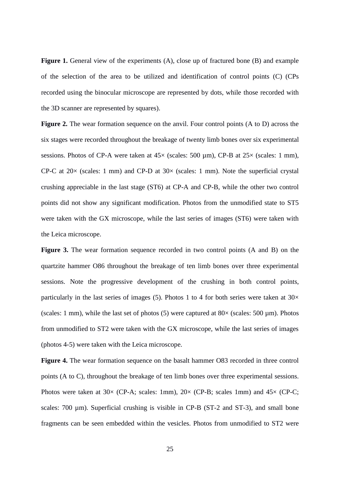Figure 1. General view of the experiments (A), close up of fractured bone (B) and example of the selection of the area to be utilized and identification of control points (C) (CPs recorded using the binocular microscope are represented by dots, while those recorded with the 3D scanner are represented by squares).

**Figure 2.** The wear formation sequence on the anvil. Four control points (A to D) across the six stages were recorded throughout the breakage of twenty limb bones over six experimental sessions. Photos of CP-A were taken at  $45\times$  (scales: 500 µm), CP-B at  $25\times$  (scales: 1 mm), CP-C at  $20\times$  (scales: 1 mm) and CP-D at  $30\times$  (scales: 1 mm). Note the superficial crystal crushing appreciable in the last stage (ST6) at CP-A and CP-B, while the other two control points did not show any significant modification. Photos from the unmodified state to ST5 were taken with the GX microscope, while the last series of images (ST6) were taken with the Leica microscope.

**Figure 3.** The wear formation sequence recorded in two control points (A and B) on the quartzite hammer O86 throughout the breakage of ten limb bones over three experimental sessions. Note the progressive development of the crushing in both control points, particularly in the last series of images (5). Photos 1 to 4 for both series were taken at  $30\times$ (scales: 1 mm), while the last set of photos (5) were captured at  $80 \times$  (scales: 500 µm). Photos from unmodified to ST2 were taken with the GX microscope, while the last series of images (photos 4-5) were taken with the Leica microscope.

**Figure 4.** The wear formation sequence on the basalt hammer O83 recorded in three control points (A to C), throughout the breakage of ten limb bones over three experimental sessions. Photos were taken at  $30 \times (CP-A; \text{ scales: } 1 \text{mm})$ ,  $20 \times (CP-B; \text{ scales: } 1 \text{mm})$  and  $45 \times (CP-C; \text{ times: } 1 \text{mm})$ scales: 700 µm). Superficial crushing is visible in CP-B (ST-2 and ST-3), and small bone fragments can be seen embedded within the vesicles. Photos from unmodified to ST2 were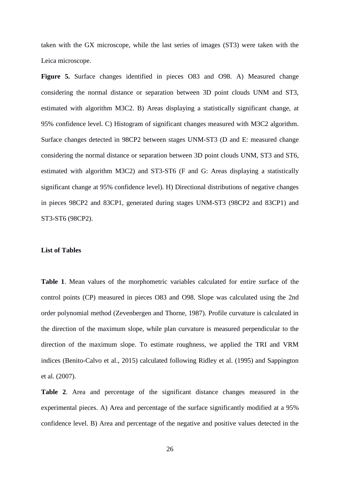taken with the GX microscope, while the last series of images (ST3) were taken with the Leica microscope.

**Figure 5.** Surface changes identified in pieces O83 and O98. A) Measured change considering the normal distance or separation between 3D point clouds UNM and ST3, estimated with algorithm M3C2. B) Areas displaying a statistically significant change, at 95% confidence level. C) Histogram of significant changes measured with M3C2 algorithm. Surface changes detected in 98CP2 between stages UNM-ST3 (D and E: measured change considering the normal distance or separation between 3D point clouds UNM, ST3 and ST6, estimated with algorithm M3C2) and ST3-ST6 (F and G: Areas displaying a statistically significant change at 95% confidence level). H) Directional distributions of negative changes in pieces 98CP2 and 83CP1, generated during stages UNM-ST3 (98CP2 and 83CP1) and ST3-ST6 (98CP2).

# **List of Tables**

**Table 1**. Mean values of the morphometric variables calculated for entire surface of the control points (CP) measured in pieces O83 and O98. Slope was calculated using the 2nd order polynomial method (Zevenbergen and Thorne, 1987). Profile curvature is calculated in the direction of the maximum slope, while plan curvature is measured perpendicular to the direction of the maximum slope. To estimate roughness, we applied the TRI and VRM indices (Benito-Calvo et al., 2015) calculated following Ridley et al. (1995) and Sappington et al. (2007).

**Table 2**. Area and percentage of the significant distance changes measured in the experimental pieces. A) Area and percentage of the surface significantly modified at a 95% confidence level. B) Area and percentage of the negative and positive values detected in the